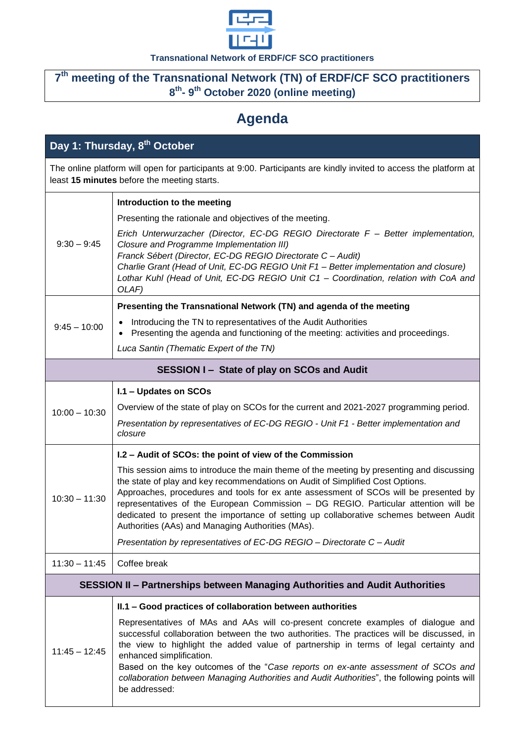

## **Transnational Network of ERDF/CF SCO practitioners**

## **7 th meeting of the Transnational Network (TN) of ERDF/CF SCO practitioners 8 th - 9 th October 2020 (online meeting)**

## **Agenda**

| Day 1: Thursday, 8 <sup>th</sup> October                                                                                                                         |                                                                                                                                                                                                                                                                                                                                                                                                                                                                                                          |  |
|------------------------------------------------------------------------------------------------------------------------------------------------------------------|----------------------------------------------------------------------------------------------------------------------------------------------------------------------------------------------------------------------------------------------------------------------------------------------------------------------------------------------------------------------------------------------------------------------------------------------------------------------------------------------------------|--|
| The online platform will open for participants at 9:00. Participants are kindly invited to access the platform at<br>least 15 minutes before the meeting starts. |                                                                                                                                                                                                                                                                                                                                                                                                                                                                                                          |  |
|                                                                                                                                                                  | Introduction to the meeting                                                                                                                                                                                                                                                                                                                                                                                                                                                                              |  |
| $9:30 - 9:45$                                                                                                                                                    | Presenting the rationale and objectives of the meeting.                                                                                                                                                                                                                                                                                                                                                                                                                                                  |  |
|                                                                                                                                                                  | Erich Unterwurzacher (Director, EC-DG REGIO Directorate F - Better implementation,<br>Closure and Programme Implementation III)<br>Franck Sébert (Director, EC-DG REGIO Directorate C - Audit)<br>Charlie Grant (Head of Unit, EC-DG REGIO Unit F1 - Better implementation and closure)<br>Lothar Kuhl (Head of Unit, EC-DG REGIO Unit C1 - Coordination, relation with CoA and<br>OLAF)                                                                                                                 |  |
|                                                                                                                                                                  | Presenting the Transnational Network (TN) and agenda of the meeting                                                                                                                                                                                                                                                                                                                                                                                                                                      |  |
| $9:45 - 10:00$                                                                                                                                                   | Introducing the TN to representatives of the Audit Authorities<br>Presenting the agenda and functioning of the meeting: activities and proceedings.                                                                                                                                                                                                                                                                                                                                                      |  |
|                                                                                                                                                                  | Luca Santin (Thematic Expert of the TN)                                                                                                                                                                                                                                                                                                                                                                                                                                                                  |  |
| SESSION I - State of play on SCOs and Audit                                                                                                                      |                                                                                                                                                                                                                                                                                                                                                                                                                                                                                                          |  |
|                                                                                                                                                                  | I.1 - Updates on SCOs                                                                                                                                                                                                                                                                                                                                                                                                                                                                                    |  |
| $10:00 - 10:30$                                                                                                                                                  | Overview of the state of play on SCOs for the current and 2021-2027 programming period.                                                                                                                                                                                                                                                                                                                                                                                                                  |  |
|                                                                                                                                                                  | Presentation by representatives of EC-DG REGIO - Unit F1 - Better implementation and<br>closure                                                                                                                                                                                                                                                                                                                                                                                                          |  |
|                                                                                                                                                                  | I.2 - Audit of SCOs: the point of view of the Commission                                                                                                                                                                                                                                                                                                                                                                                                                                                 |  |
| $10:30 - 11:30$                                                                                                                                                  | This session aims to introduce the main theme of the meeting by presenting and discussing<br>the state of play and key recommendations on Audit of Simplified Cost Options.<br>Approaches, procedures and tools for ex ante assessment of SCOs will be presented by<br>representatives of the European Commission - DG REGIO. Particular attention will be<br>dedicated to present the importance of setting up collaborative schemes between Audit<br>Authorities (AAs) and Managing Authorities (MAs). |  |
|                                                                                                                                                                  | Presentation by representatives of EC-DG REGIO - Directorate C - Audit                                                                                                                                                                                                                                                                                                                                                                                                                                   |  |
| $11:30 - 11:45$                                                                                                                                                  | Coffee break                                                                                                                                                                                                                                                                                                                                                                                                                                                                                             |  |
| SESSION II - Partnerships between Managing Authorities and Audit Authorities                                                                                     |                                                                                                                                                                                                                                                                                                                                                                                                                                                                                                          |  |
|                                                                                                                                                                  | II.1 - Good practices of collaboration between authorities                                                                                                                                                                                                                                                                                                                                                                                                                                               |  |
| $11:45 - 12:45$                                                                                                                                                  | Representatives of MAs and AAs will co-present concrete examples of dialogue and<br>successful collaboration between the two authorities. The practices will be discussed, in<br>the view to highlight the added value of partnership in terms of legal certainty and<br>enhanced simplification.<br>Based on the key outcomes of the "Case reports on ex-ante assessment of SCOs and<br>collaboration between Managing Authorities and Audit Authorities", the following points will<br>be addressed:   |  |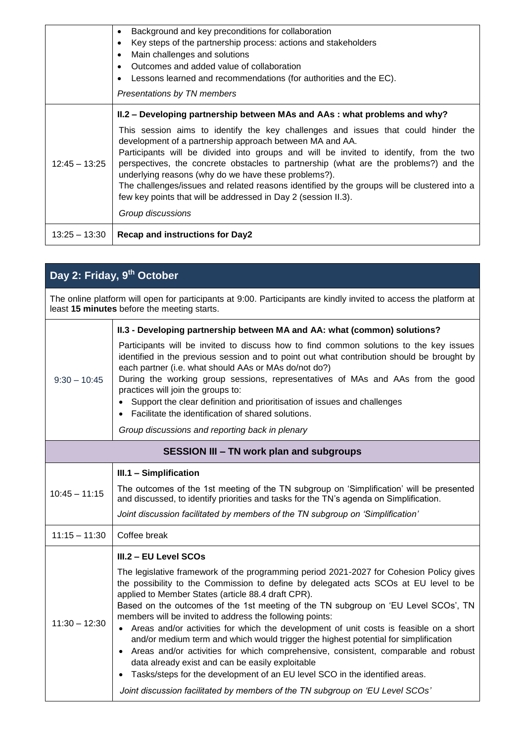|                 | Background and key preconditions for collaboration<br>٠                                                                                                                                                                                                                                                                                                                                                                                                                                                                                                  |
|-----------------|----------------------------------------------------------------------------------------------------------------------------------------------------------------------------------------------------------------------------------------------------------------------------------------------------------------------------------------------------------------------------------------------------------------------------------------------------------------------------------------------------------------------------------------------------------|
|                 | Key steps of the partnership process: actions and stakeholders<br>٠                                                                                                                                                                                                                                                                                                                                                                                                                                                                                      |
|                 | Main challenges and solutions<br>٠<br>Outcomes and added value of collaboration                                                                                                                                                                                                                                                                                                                                                                                                                                                                          |
|                 | Lessons learned and recommendations (for authorities and the EC).                                                                                                                                                                                                                                                                                                                                                                                                                                                                                        |
|                 | Presentations by TN members                                                                                                                                                                                                                                                                                                                                                                                                                                                                                                                              |
|                 | II.2 – Developing partnership between MAs and AAs: what problems and why?                                                                                                                                                                                                                                                                                                                                                                                                                                                                                |
| $12:45 - 13:25$ | This session aims to identify the key challenges and issues that could hinder the<br>development of a partnership approach between MA and AA.<br>Participants will be divided into groups and will be invited to identify, from the two<br>perspectives, the concrete obstacles to partnership (what are the problems?) and the<br>underlying reasons (why do we have these problems?).<br>The challenges/issues and related reasons identified by the groups will be clustered into a<br>few key points that will be addressed in Day 2 (session II.3). |
|                 | Group discussions                                                                                                                                                                                                                                                                                                                                                                                                                                                                                                                                        |
| $13:25 - 13:30$ | <b>Recap and instructions for Day2</b>                                                                                                                                                                                                                                                                                                                                                                                                                                                                                                                   |

## **Day 2: Friday, 9 th October**

The online platform will open for participants at 9:00. Participants are kindly invited to access the platform at least **15 minutes** before the meeting starts.

|                                                 | II.3 - Developing partnership between MA and AA: what (common) solutions?                                                                                                                                                                                                                                                                                                                                                                                                                                                                                                                                                                                                                                                                                                                                                                                                                           |  |
|-------------------------------------------------|-----------------------------------------------------------------------------------------------------------------------------------------------------------------------------------------------------------------------------------------------------------------------------------------------------------------------------------------------------------------------------------------------------------------------------------------------------------------------------------------------------------------------------------------------------------------------------------------------------------------------------------------------------------------------------------------------------------------------------------------------------------------------------------------------------------------------------------------------------------------------------------------------------|--|
| $9:30 - 10:45$                                  | Participants will be invited to discuss how to find common solutions to the key issues<br>identified in the previous session and to point out what contribution should be brought by<br>each partner (i.e. what should AAs or MAs do/not do?)<br>During the working group sessions, representatives of MAs and AAs from the good<br>practices will join the groups to:<br>Support the clear definition and prioritisation of issues and challenges<br>Facilitate the identification of shared solutions.                                                                                                                                                                                                                                                                                                                                                                                            |  |
|                                                 | Group discussions and reporting back in plenary                                                                                                                                                                                                                                                                                                                                                                                                                                                                                                                                                                                                                                                                                                                                                                                                                                                     |  |
| <b>SESSION III - TN work plan and subgroups</b> |                                                                                                                                                                                                                                                                                                                                                                                                                                                                                                                                                                                                                                                                                                                                                                                                                                                                                                     |  |
| $10:45 - 11:15$                                 | III.1 - Simplification                                                                                                                                                                                                                                                                                                                                                                                                                                                                                                                                                                                                                                                                                                                                                                                                                                                                              |  |
|                                                 | The outcomes of the 1st meeting of the TN subgroup on 'Simplification' will be presented<br>and discussed, to identify priorities and tasks for the TN's agenda on Simplification.                                                                                                                                                                                                                                                                                                                                                                                                                                                                                                                                                                                                                                                                                                                  |  |
|                                                 | Joint discussion facilitated by members of the TN subgroup on 'Simplification'                                                                                                                                                                                                                                                                                                                                                                                                                                                                                                                                                                                                                                                                                                                                                                                                                      |  |
| $11:15 - 11:30$                                 | Coffee break                                                                                                                                                                                                                                                                                                                                                                                                                                                                                                                                                                                                                                                                                                                                                                                                                                                                                        |  |
|                                                 | III.2 - EU Level SCOs                                                                                                                                                                                                                                                                                                                                                                                                                                                                                                                                                                                                                                                                                                                                                                                                                                                                               |  |
| $11:30 - 12:30$                                 | The legislative framework of the programming period 2021-2027 for Cohesion Policy gives<br>the possibility to the Commission to define by delegated acts SCOs at EU level to be<br>applied to Member States (article 88.4 draft CPR).<br>Based on the outcomes of the 1st meeting of the TN subgroup on 'EU Level SCOs', TN<br>members will be invited to address the following points:<br>• Areas and/or activities for which the development of unit costs is feasible on a short<br>and/or medium term and which would trigger the highest potential for simplification<br>• Areas and/or activities for which comprehensive, consistent, comparable and robust<br>data already exist and can be easily exploitable<br>Tasks/steps for the development of an EU level SCO in the identified areas.<br>$\bullet$<br>Joint discussion facilitated by members of the TN subgroup on 'EU Level SCOs' |  |